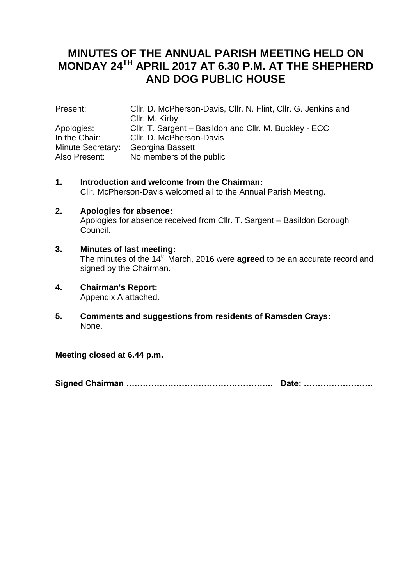# **MINUTES OF THE ANNUAL PARISH MEETING HELD ON MONDAY 24TH APRIL 2017 AT 6.30 P.M. AT THE SHEPHERD AND DOG PUBLIC HOUSE**

| Present:          | Cllr. D. McPherson-Davis, Cllr. N. Flint, Cllr. G. Jenkins and |
|-------------------|----------------------------------------------------------------|
|                   | Cllr. M. Kirby                                                 |
| Apologies:        | CIIr. T. Sargent – Basildon and CIIr. M. Buckley - ECC         |
| In the Chair:     | Cllr. D. McPherson-Davis                                       |
| Minute Secretary: | Georgina Bassett                                               |
| Also Present:     | No members of the public                                       |

- **1. Introduction and welcome from the Chairman:** Cllr. McPherson-Davis welcomed all to the Annual Parish Meeting.
- **2. Apologies for absence:** Apologies for absence received from Cllr. T. Sargent – Basildon Borough Council.
- **3. Minutes of last meeting:** The minutes of the 14<sup>th</sup> March, 2016 were **agreed** to be an accurate record and signed by the Chairman.
- **4. Chairman's Report:** Appendix A attached.
- **5. Comments and suggestions from residents of Ramsden Crays:** None.

**Meeting closed at 6.44 p.m.**

**Signed Chairman …………………………………………….. Date: …………………….**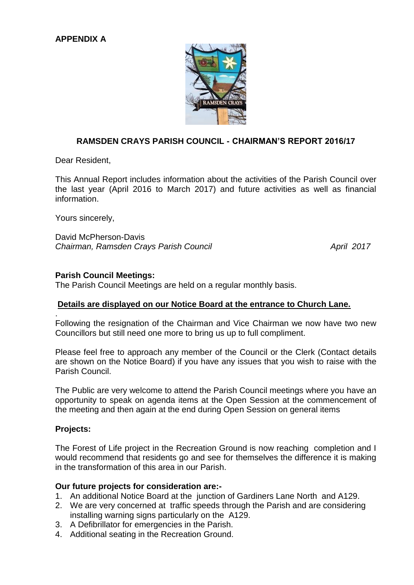

# **RAMSDEN CRAYS PARISH COUNCIL - CHAIRMAN'S REPORT 2016/17**

Dear Resident,

This Annual Report includes information about the activities of the Parish Council over the last year (April 2016 to March 2017) and future activities as well as financial information.

Yours sincerely,

David McPherson-Davis *Chairman, Ramsden Crays Parish Council April 2017*

#### **Parish Council Meetings:**

The Parish Council Meetings are held on a regular monthly basis.

## **Details are displayed on our Notice Board at the entrance to Church Lane.**

Following the resignation of the Chairman and Vice Chairman we now have two new Councillors but still need one more to bring us up to full compliment.

Please feel free to approach any member of the Council or the Clerk (Contact details are shown on the Notice Board) if you have any issues that you wish to raise with the Parish Council.

The Public are very welcome to attend the Parish Council meetings where you have an opportunity to speak on agenda items at the Open Session at the commencement of the meeting and then again at the end during Open Session on general items

#### **Projects:**

.

The Forest of Life project in the Recreation Ground is now reaching completion and I would recommend that residents go and see for themselves the difference it is making in the transformation of this area in our Parish.

#### **Our future projects for consideration are:-**

- 1. An additional Notice Board at the junction of Gardiners Lane North and A129.
- 2. We are very concerned at traffic speeds through the Parish and are considering installing warning signs particularly on the A129.
- 3. A Defibrillator for emergencies in the Parish.
- 4. Additional seating in the Recreation Ground.